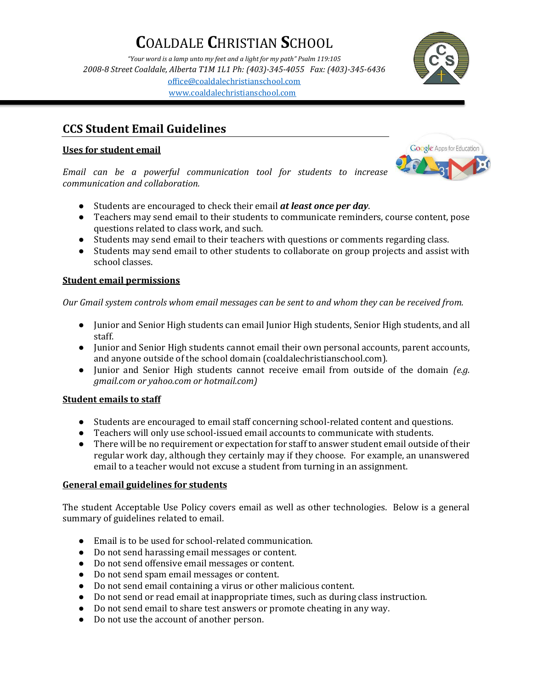# **C**OALDALE **C**HRISTIAN **S**CHOOL

*"Your word is a lamp unto my feet and a light for my path" Psalm 119:105 2008-8 Street Coaldale, Alberta T1M 1L1 Ph: (403)-345-4055 Fax: (403)-345-6436* [office@coaldalechristianschool.com](mailto:office@coaldalechristianschool.com) [www.coaldalechristianschool.com](http://www.coaldalechristianschool.com/)

### **CCS Student Email Guidelines**

#### **Uses for student email**

*Email can be a powerful communication tool for students to increase communication and collaboration.*

- Students are encouraged to check their email *at least once per day*.
- Teachers may send email to their students to communicate reminders, course content, pose questions related to class work, and such.
- Students may send email to their teachers with questions or comments regarding class.
- Students may send email to other students to collaborate on group projects and assist with school classes.

### **Student email permissions**

*Our Gmail system controls whom email messages can be sent to and whom they can be received from.*

- Junior and Senior High students can email Junior High students, Senior High students, and all staff.
- Junior and Senior High students cannot email their own personal accounts, parent accounts, and anyone outside of the school domain (coaldalechristianschool.com).
- Junior and Senior High students cannot receive email from outside of the domain *(e.g. gmail.com or yahoo.com or hotmail.com)*

### **Student emails to staff**

- Students are encouraged to email staff concerning school-related content and questions.
- Teachers will only use school-issued email accounts to communicate with students.
- There will be no requirement or expectation for staff to answer student email outside of their regular work day, although they certainly may if they choose. For example, an unanswered email to a teacher would not excuse a student from turning in an assignment.

### **General email guidelines for students**

The student Acceptable Use Policy covers email as well as other technologies. Below is a general summary of guidelines related to email.

- Email is to be used for school-related communication.
- Do not send harassing email messages or content.
- Do not send offensive email messages or content.
- Do not send spam email messages or content.
- Do not send email containing a virus or other malicious content.
- Do not send or read email at inappropriate times, such as during class instruction.
- Do not send email to share test answers or promote cheating in any way.
- Do not use the account of another person.